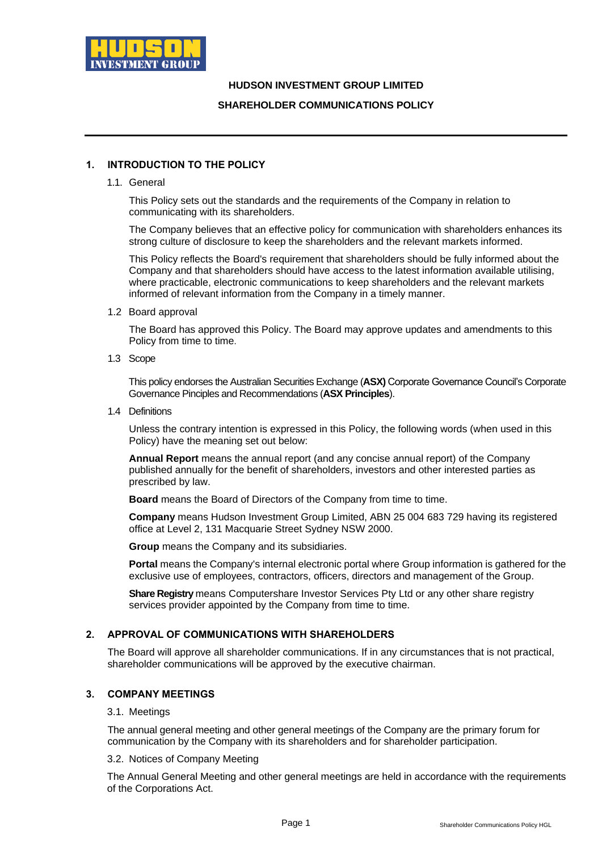

## **HUDSON INVESTMENT GROUP LIMITED**

## **SHAREHOLDER COMMUNICATIONS POLICY**

# **1. INTRODUCTION TO THE POLICY**

1.1. General

This Policy sets out the standards and the requirements of the Company in relation to communicating with its shareholders.

The Company believes that an effective policy for communication with shareholders enhances its strong culture of disclosure to keep the shareholders and the relevant markets informed.

This Policy reflects the Board's requirement that shareholders should be fully informed about the Company and that shareholders should have access to the latest information available utilising, where practicable, electronic communications to keep shareholders and the relevant markets informed of relevant information from the Company in a timely manner.

1.2 Board approval

The Board has approved this Policy. The Board may approve updates and amendments to this Policy from time to time.

1.3 Scope

This policy endorses the Australian Securities Exchange (**ASX)** Corporate Governance Council's Corporate Governance Pinciples and Recommendations (**ASX Principles**).

1.4 Definitions

Unless the contrary intention is expressed in this Policy, the following words (when used in this Policy) have the meaning set out below:

**Annual Report** means the annual report (and any concise annual report) of the Company published annually for the benefit of shareholders, investors and other interested parties as prescribed by law.

**Board** means the Board of Directors of the Company from time to time.

**Company** means Hudson Investment Group Limited, ABN 25 004 683 729 having its registered office at Level 2, 131 Macquarie Street Sydney NSW 2000.

**Group** means the Company and its subsidiaries.

**Portal** means the Company's internal electronic portal where Group information is gathered for the exclusive use of employees, contractors, officers, directors and management of the Group.

**Share Registry** means Computershare Investor Services Pty Ltd or any other share registry services provider appointed by the Company from time to time.

## **2. APPROVAL OF COMMUNICATIONS WITH SHAREHOLDERS**

The Board will approve all shareholder communications. If in any circumstances that is not practical, shareholder communications will be approved by the executive chairman.

## **3. COMPANY MEETINGS**

#### 3.1. Meetings

The annual general meeting and other general meetings of the Company are the primary forum for communication by the Company with its shareholders and for shareholder participation.

#### 3.2. Notices of Company Meeting

The Annual General Meeting and other general meetings are held in accordance with the requirements of the Corporations Act.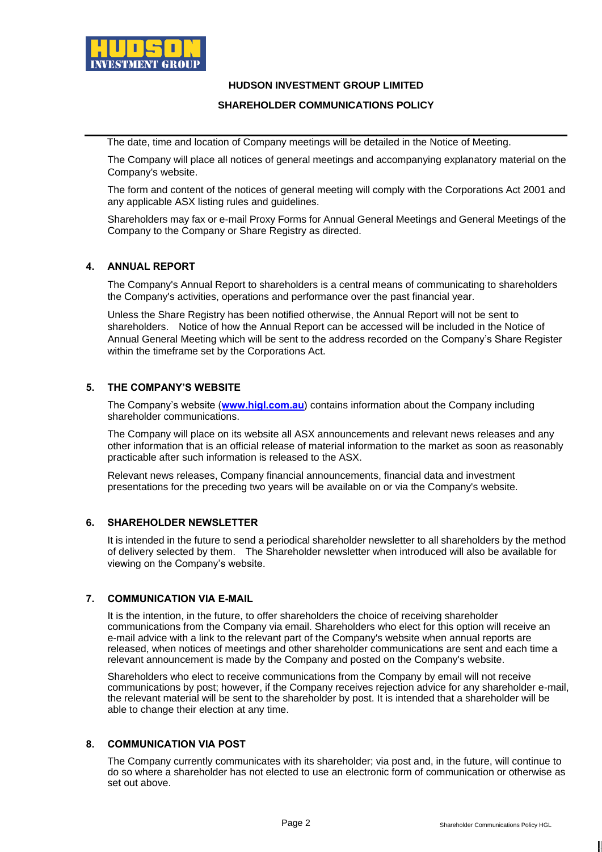

## **HUDSON INVESTMENT GROUP LIMITED**

### **SHAREHOLDER COMMUNICATIONS POLICY**

The date, time and location of Company meetings will be detailed in the Notice of Meeting.

The Company will place all notices of general meetings and accompanying explanatory material on the Company's website.

The form and content of the notices of general meeting will comply with the Corporations Act 2001 and any applicable ASX listing rules and guidelines.

Shareholders may fax or e-mail Proxy Forms for Annual General Meetings and General Meetings of the Company to the Company or Share Registry as directed.

### **4. ANNUAL REPORT**

The Company's Annual Report to shareholders is a central means of communicating to shareholders the Company's activities, operations and performance over the past financial year.

Unless the Share Registry has been notified otherwise, the Annual Report will not be sent to shareholders. Notice of how the Annual Report can be accessed will be included in the Notice of Annual General Meeting which will be sent to the address recorded on the Company's Share Register within the timeframe set by the Corporations Act.

## **5. THE COMPANY'S WEBSITE**

The Company's website (**[www.higl.com.au](http://www.higl.com.au/)**) contains information about the Company including shareholder communications.

The Company will place on its website all ASX announcements and relevant news releases and any other information that is an official release of material information to the market as soon as reasonably practicable after such information is released to the ASX.

Relevant news releases, Company financial announcements, financial data and investment presentations for the preceding two years will be available on or via the Company's website.

#### **6. SHAREHOLDER NEWSLETTER**

It is intended in the future to send a periodical shareholder newsletter to all shareholders by the method of delivery selected by them. The Shareholder newsletter when introduced will also be available for viewing on the Company's website.

#### **7. COMMUNICATION VIA E-MAIL**

It is the intention, in the future, to offer shareholders the choice of receiving shareholder communications from the Company via email. Shareholders who elect for this option will receive an e-mail advice with a link to the relevant part of the Company's website when annual reports are released, when notices of meetings and other shareholder communications are sent and each time a relevant announcement is made by the Company and posted on the Company's website.

Shareholders who elect to receive communications from the Company by email will not receive communications by post; however, if the Company receives rejection advice for any shareholder e-mail, the relevant material will be sent to the shareholder by post. It is intended that a shareholder will be able to change their election at any time.

#### **8. COMMUNICATION VIA POST**

The Company currently communicates with its shareholder; via post and, in the future, will continue to do so where a shareholder has not elected to use an electronic form of communication or otherwise as set out above.